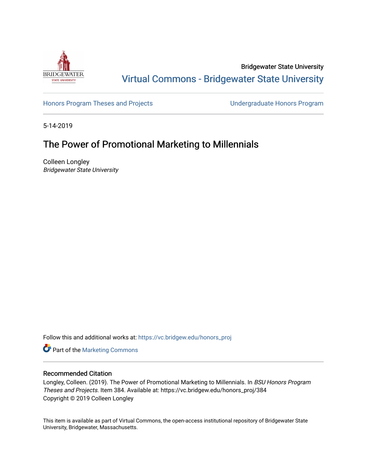

Bridgewater State University [Virtual Commons - Bridgewater State University](https://vc.bridgew.edu/) 

[Honors Program Theses and Projects](https://vc.bridgew.edu/honors_proj) [Undergraduate Honors Program](https://vc.bridgew.edu/honors) 

5-14-2019

# The Power of Promotional Marketing to Millennials

Colleen Longley Bridgewater State University

Follow this and additional works at: [https://vc.bridgew.edu/honors\\_proj](https://vc.bridgew.edu/honors_proj?utm_source=vc.bridgew.edu%2Fhonors_proj%2F384&utm_medium=PDF&utm_campaign=PDFCoverPages)

Part of the [Marketing Commons](http://network.bepress.com/hgg/discipline/638?utm_source=vc.bridgew.edu%2Fhonors_proj%2F384&utm_medium=PDF&utm_campaign=PDFCoverPages)

## Recommended Citation

Longley, Colleen. (2019). The Power of Promotional Marketing to Millennials. In BSU Honors Program Theses and Projects. Item 384. Available at: https://vc.bridgew.edu/honors\_proj/384 Copyright © 2019 Colleen Longley

This item is available as part of Virtual Commons, the open-access institutional repository of Bridgewater State University, Bridgewater, Massachusetts.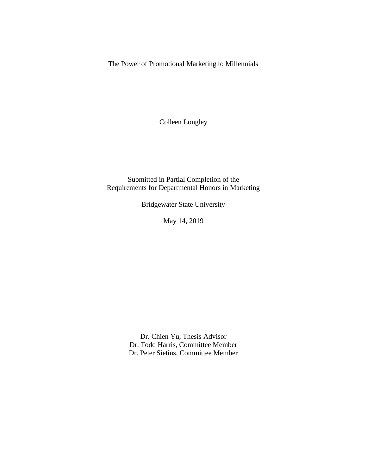The Power of Promotional Marketing to Millennials

Colleen Longley

Submitted in Partial Completion of the Requirements for Departmental Honors in Marketing

Bridgewater State University

May 14, 2019

Dr. Chien Yu, Thesis Advisor Dr. Todd Harris, Committee Member Dr. Peter Sietins, Committee Member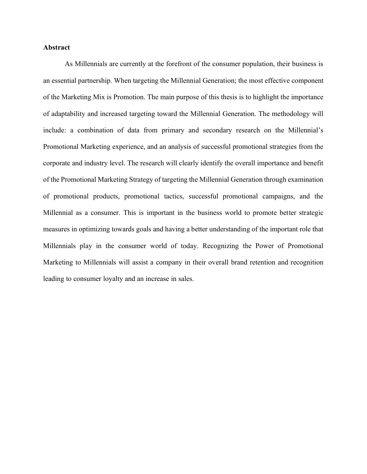### **Abstract**

As Millennials are currently at the forefront of the consumer population, their business is an essential partnership. When targeting the Millennial Generation; the most effective component of the Marketing Mix is Promotion. The main purpose of this thesis is to highlight the importance of adaptability and increased targeting toward the Millennial Generation. The methodology will include: a combination of data from primary and secondary research on the Millennial's Promotional Marketing experience, and an analysis of successful promotional strategies from the corporate and industry level. The research will clearly identify the overall importance and benefit of the Promotional Marketing Strategy of targeting the Millennial Generation through examination of promotional products, promotional tactics, successful promotional campaigns, and the Millennial as a consumer. This is important in the business world to promote better strategic measures in optimizing towards goals and having a better understanding of the important role that Millennials play in the consumer world of today. Recognizing the Power of Promotional Marketing to Millennials will assist a company in their overall brand retention and recognition leading to consumer loyalty and an increase in sales.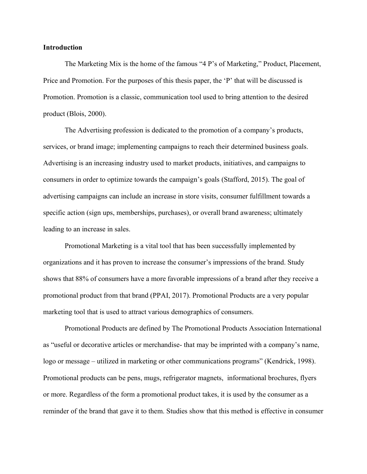#### **Introduction**

The Marketing Mix is the home of the famous "4 P's of Marketing," Product, Placement, Price and Promotion. For the purposes of this thesis paper, the 'P' that will be discussed is Promotion. Promotion is a classic, communication tool used to bring attention to the desired product (Blois, 2000).

The Advertising profession is dedicated to the promotion of a company's products, services, or brand image; implementing campaigns to reach their determined business goals. Advertising is an increasing industry used to market products, initiatives, and campaigns to consumers in order to optimize towards the campaign's goals (Stafford, 2015). The goal of advertising campaigns can include an increase in store visits, consumer fulfillment towards a specific action (sign ups, memberships, purchases), or overall brand awareness; ultimately leading to an increase in sales.

Promotional Marketing is a vital tool that has been successfully implemented by organizations and it has proven to increase the consumer's impressions of the brand. Study shows that 88% of consumers have a more favorable impressions of a brand after they receive a promotional product from that brand (PPAI, 2017). Promotional Products are a very popular marketing tool that is used to attract various demographics of consumers.

Promotional Products are defined by The Promotional Products Association International as "useful or decorative articles or merchandise- that may be imprinted with a company's name, logo or message – utilized in marketing or other communications programs" (Kendrick, 1998). Promotional products can be pens, mugs, refrigerator magnets, informational brochures, flyers or more. Regardless of the form a promotional product takes, it is used by the consumer as a reminder of the brand that gave it to them. Studies show that this method is effective in consumer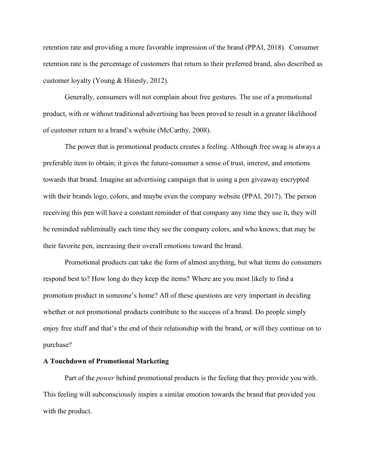retention rate and providing a more favorable impression of the brand (PPAI, 2018). Consumer retention rate is the percentage of customers that return to their preferred brand, also described as customer loyalty (Young & Hinesly, 2012).

Generally, consumers will not complain about free gestures. The use of a promotional product, with or without traditional advertising has been proved to result in a greater likelihood of customer return to a brand's website (McCarthy, 2008).

The power that is promotional products creates a feeling. Although free swag is always a preferable item to obtain; it gives the future-consumer a sense of trust, interest, and emotions towards that brand. Imagine an advertising campaign that is using a pen giveaway encrypted with their brands logo, colors, and maybe even the company website (PPAI, 2017). The person receiving this pen will have a constant reminder of that company any time they use it, they will be reminded subliminally each time they see the company colors, and who knows; that may be their favorite pen, increasing their overall emotions toward the brand.

Promotional products can take the form of almost anything, but what items do consumers respond best to? How long do they keep the items? Where are you most likely to find a promotion product in someone's home? All of these questions are very important in deciding whether or not promotional products contribute to the success of a brand. Do people simply enjoy free stuff and that's the end of their relationship with the brand, or will they continue on to purchase?

#### **A Touchdown of Promotional Marketing**

Part of the *power* behind promotional products is the feeling that they provide you with. This feeling will subconsciously inspire a similar emotion towards the brand that provided you with the product.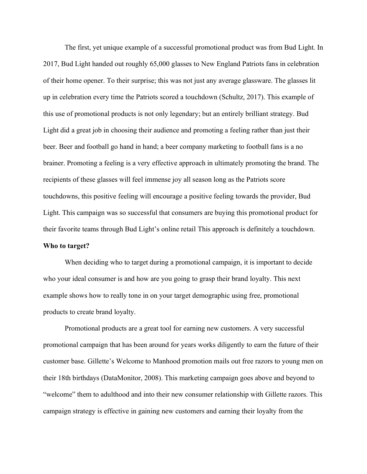The first, yet unique example of a successful promotional product was from Bud Light. In 2017, Bud Light handed out roughly 65,000 glasses to New England Patriots fans in celebration of their home opener. To their surprise; this was not just any average glassware. The glasses lit up in celebration every time the Patriots scored a touchdown (Schultz, 2017). This example of this use of promotional products is not only legendary; but an entirely brilliant strategy. Bud Light did a great job in choosing their audience and promoting a feeling rather than just their beer. Beer and football go hand in hand; a beer company marketing to football fans is a no brainer. Promoting a feeling is a very effective approach in ultimately promoting the brand. The recipients of these glasses will feel immense joy all season long as the Patriots score touchdowns, this positive feeling will encourage a positive feeling towards the provider, Bud Light. This campaign was so successful that consumers are buying this promotional product for their favorite teams through Bud Light's online retail This approach is definitely a touchdown. **Who to target?**

When deciding who to target during a promotional campaign, it is important to decide who your ideal consumer is and how are you going to grasp their brand loyalty. This next example shows how to really tone in on your target demographic using free, promotional products to create brand loyalty.

Promotional products are a great tool for earning new customers. A very successful promotional campaign that has been around for years works diligently to earn the future of their customer base. Gillette's Welcome to Manhood promotion mails out free razors to young men on their 18th birthdays (DataMonitor, 2008). This marketing campaign goes above and beyond to "welcome" them to adulthood and into their new consumer relationship with Gillette razors. This campaign strategy is effective in gaining new customers and earning their loyalty from the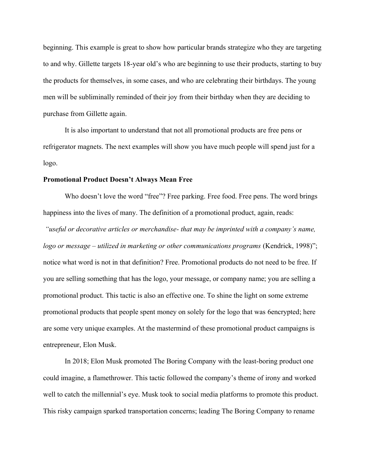beginning. This example is great to show how particular brands strategize who they are targeting to and why. Gillette targets 18-year old's who are beginning to use their products, starting to buy the products for themselves, in some cases, and who are celebrating their birthdays. The young men will be subliminally reminded of their joy from their birthday when they are deciding to purchase from Gillette again.

It is also important to understand that not all promotional products are free pens or refrigerator magnets. The next examples will show you have much people will spend just for a logo.

#### **Promotional Product Doesn't Always Mean Free**

Who doesn't love the word "free"? Free parking. Free food. Free pens. The word brings happiness into the lives of many. The definition of a promotional product, again, reads:

*"useful or decorative articles or merchandise- that may be imprinted with a company's name, logo or message – utilized in marketing or other communications programs* (Kendrick, 1998)"; notice what word is not in that definition? Free. Promotional products do not need to be free. If you are selling something that has the logo, your message, or company name; you are selling a promotional product. This tactic is also an effective one. To shine the light on some extreme promotional products that people spent money on solely for the logo that was 6encrypted; here are some very unique examples. At the mastermind of these promotional product campaigns is entrepreneur, Elon Musk.

In 2018; Elon Musk promoted The Boring Company with the least-boring product one could imagine, a flamethrower. This tactic followed the company's theme of irony and worked well to catch the millennial's eye. Musk took to social media platforms to promote this product. This risky campaign sparked transportation concerns; leading The Boring Company to rename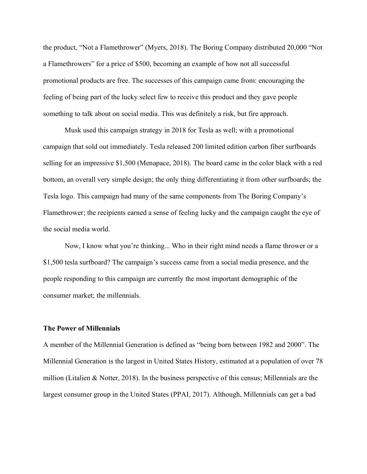the product, "Not a Flamethrower" (Myers, 2018). The Boring Company distributed 20,000 "Not a Flamethrowers" for a price of \$500, becoming an example of how not all successful promotional products are free. The successes of this campaign came from: encouraging the feeling of being part of the lucky select few to receive this product and they gave people something to talk about on social media. This was definitely a risk, but fire approach.

Musk used this campaign strategy in 2018 for Tesla as well; with a promotional campaign that sold out immediately. Tesla released 200 limited edition carbon fiber surfboards selling for an impressive \$1,500 (Menapace, 2018). The board came in the color black with a red bottom, an overall very simple design; the only thing differentiating it from other surfboards; the Tesla logo. This campaign had many of the same components from The Boring Company's Flamethrower; the recipients earned a sense of feeling lucky and the campaign caught the eye of the social media world.

Now, I know what you're thinking... Who in their right mind needs a flame thrower or a \$1,500 tesla surfboard? The campaign's success came from a social media presence, and the people responding to this campaign are currently the most important demographic of the consumer market; the millennials.

### **The Power of Millennials**

A member of the Millennial Generation is defined as "being born between 1982 and 2000". The Millennial Generation is the largest in United States History, estimated at a population of over 78 million (Litalien & Notter, 2018). In the business perspective of this census; Millennials are the largest consumer group in the United States (PPAI, 2017). Although, Millennials can get a bad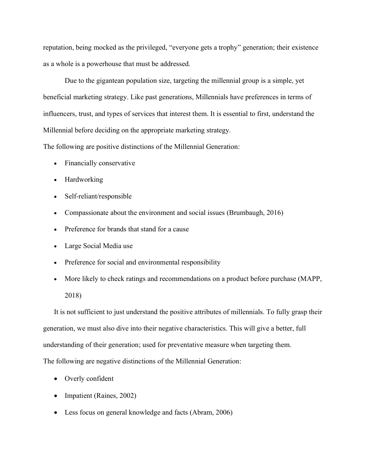reputation, being mocked as the privileged, "everyone gets a trophy" generation; their existence as a whole is a powerhouse that must be addressed.

Due to the gigantean population size, targeting the millennial group is a simple, yet beneficial marketing strategy. Like past generations, Millennials have preferences in terms of influencers, trust, and types of services that interest them. It is essential to first, understand the Millennial before deciding on the appropriate marketing strategy.

The following are positive distinctions of the Millennial Generation:

- Financially conservative
- Hardworking
- Self-reliant/responsible
- Compassionate about the environment and social issues (Brumbaugh, 2016)
- Preference for brands that stand for a cause
- Large Social Media use
- Preference for social and environmental responsibility
- More likely to check ratings and recommendations on a product before purchase (MAPP, 2018)

It is not sufficient to just understand the positive attributes of millennials. To fully grasp their generation, we must also dive into their negative characteristics. This will give a better, full understanding of their generation; used for preventative measure when targeting them. The following are negative distinctions of the Millennial Generation:

- Overly confident
- Impatient (Raines, 2002)
- Less focus on general knowledge and facts (Abram, 2006)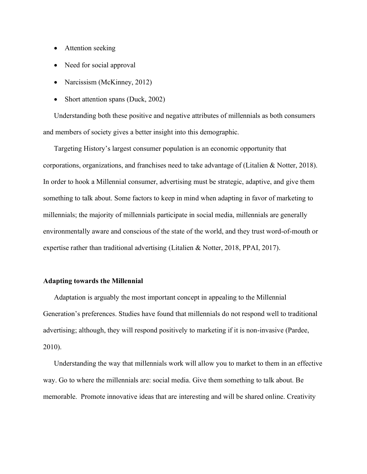- Attention seeking
- Need for social approval
- Narcissism (McKinney, 2012)
- Short attention spans (Duck, 2002)

Understanding both these positive and negative attributes of millennials as both consumers and members of society gives a better insight into this demographic.

Targeting History's largest consumer population is an economic opportunity that corporations, organizations, and franchises need to take advantage of (Litalien & Notter, 2018). In order to hook a Millennial consumer, advertising must be strategic, adaptive, and give them something to talk about. Some factors to keep in mind when adapting in favor of marketing to millennials; the majority of millennials participate in social media, millennials are generally environmentally aware and conscious of the state of the world, and they trust word-of-mouth or expertise rather than traditional advertising (Litalien & Notter, 2018, PPAI, 2017).

## **Adapting towards the Millennial**

Adaptation is arguably the most important concept in appealing to the Millennial Generation's preferences. Studies have found that millennials do not respond well to traditional advertising; although, they will respond positively to marketing if it is non-invasive (Pardee, 2010).

Understanding the way that millennials work will allow you to market to them in an effective way. Go to where the millennials are: social media. Give them something to talk about. Be memorable. Promote innovative ideas that are interesting and will be shared online. Creativity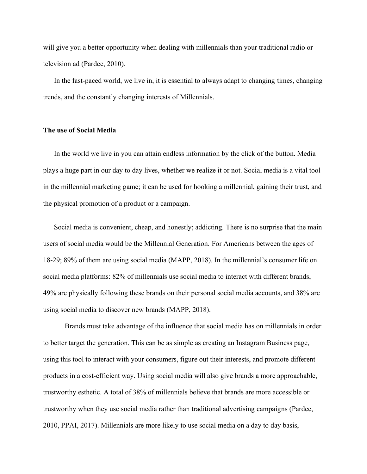will give you a better opportunity when dealing with millennials than your traditional radio or television ad (Pardee, 2010).

In the fast-paced world, we live in, it is essential to always adapt to changing times, changing trends, and the constantly changing interests of Millennials.

### **The use of Social Media**

In the world we live in you can attain endless information by the click of the button. Media plays a huge part in our day to day lives, whether we realize it or not. Social media is a vital tool in the millennial marketing game; it can be used for hooking a millennial, gaining their trust, and the physical promotion of a product or a campaign.

Social media is convenient, cheap, and honestly; addicting. There is no surprise that the main users of social media would be the Millennial Generation. For Americans between the ages of 18-29; 89% of them are using social media (MAPP, 2018). In the millennial's consumer life on social media platforms: 82% of millennials use social media to interact with different brands, 49% are physically following these brands on their personal social media accounts, and 38% are using social media to discover new brands (MAPP, 2018).

Brands must take advantage of the influence that social media has on millennials in order to better target the generation. This can be as simple as creating an Instagram Business page, using this tool to interact with your consumers, figure out their interests, and promote different products in a cost-efficient way. Using social media will also give brands a more approachable, trustworthy esthetic. A total of 38% of millennials believe that brands are more accessible or trustworthy when they use social media rather than traditional advertising campaigns (Pardee, 2010, PPAI, 2017). Millennials are more likely to use social media on a day to day basis,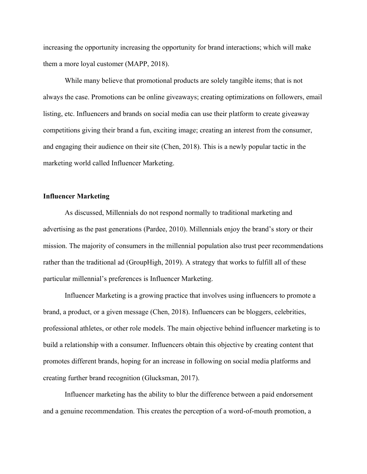increasing the opportunity increasing the opportunity for brand interactions; which will make them a more loyal customer (MAPP, 2018).

While many believe that promotional products are solely tangible items; that is not always the case. Promotions can be online giveaways; creating optimizations on followers, email listing, etc. Influencers and brands on social media can use their platform to create giveaway competitions giving their brand a fun, exciting image; creating an interest from the consumer, and engaging their audience on their site (Chen, 2018). This is a newly popular tactic in the marketing world called Influencer Marketing.

## **Influencer Marketing**

As discussed, Millennials do not respond normally to traditional marketing and advertising as the past generations (Pardee, 2010). Millennials enjoy the brand's story or their mission. The majority of consumers in the millennial population also trust peer recommendations rather than the traditional ad (GroupHigh, 2019). A strategy that works to fulfill all of these particular millennial's preferences is Influencer Marketing.

Influencer Marketing is a growing practice that involves using influencers to promote a brand, a product, or a given message (Chen, 2018). Influencers can be bloggers, celebrities, professional athletes, or other role models. The main objective behind influencer marketing is to build a relationship with a consumer. Influencers obtain this objective by creating content that promotes different brands, hoping for an increase in following on social media platforms and creating further brand recognition (Glucksman, 2017).

Influencer marketing has the ability to blur the difference between a paid endorsement and a genuine recommendation. This creates the perception of a word-of-mouth promotion, a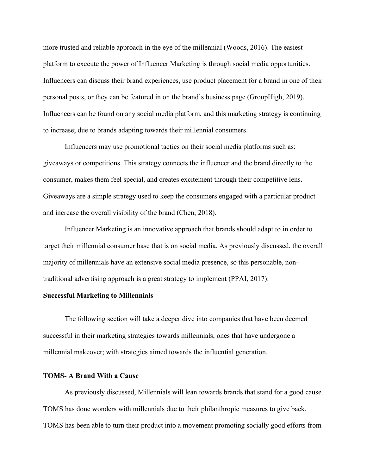more trusted and reliable approach in the eye of the millennial (Woods, 2016). The easiest platform to execute the power of Influencer Marketing is through social media opportunities. Influencers can discuss their brand experiences, use product placement for a brand in one of their personal posts, or they can be featured in on the brand's business page (GroupHigh, 2019). Influencers can be found on any social media platform, and this marketing strategy is continuing to increase; due to brands adapting towards their millennial consumers.

Influencers may use promotional tactics on their social media platforms such as: giveaways or competitions. This strategy connects the influencer and the brand directly to the consumer, makes them feel special, and creates excitement through their competitive lens. Giveaways are a simple strategy used to keep the consumers engaged with a particular product and increase the overall visibility of the brand (Chen, 2018).

Influencer Marketing is an innovative approach that brands should adapt to in order to target their millennial consumer base that is on social media. As previously discussed, the overall majority of millennials have an extensive social media presence, so this personable, nontraditional advertising approach is a great strategy to implement (PPAI, 2017).

#### **Successful Marketing to Millennials**

The following section will take a deeper dive into companies that have been deemed successful in their marketing strategies towards millennials, ones that have undergone a millennial makeover; with strategies aimed towards the influential generation.

## **TOMS- A Brand With a Cause**

As previously discussed, Millennials will lean towards brands that stand for a good cause. TOMS has done wonders with millennials due to their philanthropic measures to give back. TOMS has been able to turn their product into a movement promoting socially good efforts from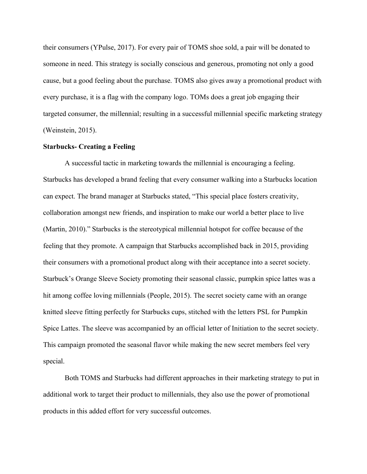their consumers (YPulse, 2017). For every pair of TOMS shoe sold, a pair will be donated to someone in need. This strategy is socially conscious and generous, promoting not only a good cause, but a good feeling about the purchase. TOMS also gives away a promotional product with every purchase, it is a flag with the company logo. TOMs does a great job engaging their targeted consumer, the millennial; resulting in a successful millennial specific marketing strategy (Weinstein, 2015).

#### **Starbucks- Creating a Feeling**

A successful tactic in marketing towards the millennial is encouraging a feeling. Starbucks has developed a brand feeling that every consumer walking into a Starbucks location can expect. The brand manager at Starbucks stated, "This special place fosters creativity, collaboration amongst new friends, and inspiration to make our world a better place to live (Martin, 2010)." Starbucks is the stereotypical millennial hotspot for coffee because of the feeling that they promote. A campaign that Starbucks accomplished back in 2015, providing their consumers with a promotional product along with their acceptance into a secret society. Starbuck's Orange Sleeve Society promoting their seasonal classic, pumpkin spice lattes was a hit among coffee loving millennials (People, 2015). The secret society came with an orange knitted sleeve fitting perfectly for Starbucks cups, stitched with the letters PSL for Pumpkin Spice Lattes. The sleeve was accompanied by an official letter of Initiation to the secret society. This campaign promoted the seasonal flavor while making the new secret members feel very special.

Both TOMS and Starbucks had different approaches in their marketing strategy to put in additional work to target their product to millennials, they also use the power of promotional products in this added effort for very successful outcomes.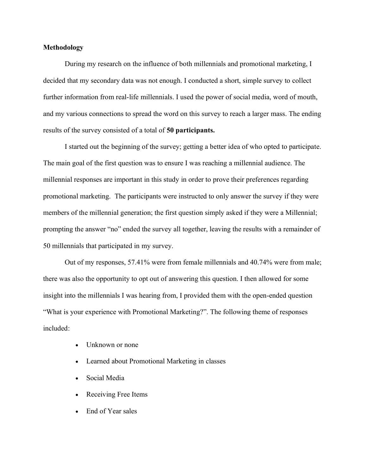## **Methodology**

During my research on the influence of both millennials and promotional marketing, I decided that my secondary data was not enough. I conducted a short, simple survey to collect further information from real-life millennials. I used the power of social media, word of mouth, and my various connections to spread the word on this survey to reach a larger mass. The ending results of the survey consisted of a total of **50 participants.** 

I started out the beginning of the survey; getting a better idea of who opted to participate. The main goal of the first question was to ensure I was reaching a millennial audience. The millennial responses are important in this study in order to prove their preferences regarding promotional marketing. The participants were instructed to only answer the survey if they were members of the millennial generation; the first question simply asked if they were a Millennial; prompting the answer "no" ended the survey all together, leaving the results with a remainder of 50 millennials that participated in my survey.

Out of my responses, 57.41% were from female millennials and 40.74% were from male; there was also the opportunity to opt out of answering this question. I then allowed for some insight into the millennials I was hearing from, I provided them with the open-ended question "What is your experience with Promotional Marketing?". The following theme of responses included:

- Unknown or none
- Learned about Promotional Marketing in classes
- Social Media
- Receiving Free Items
- End of Year sales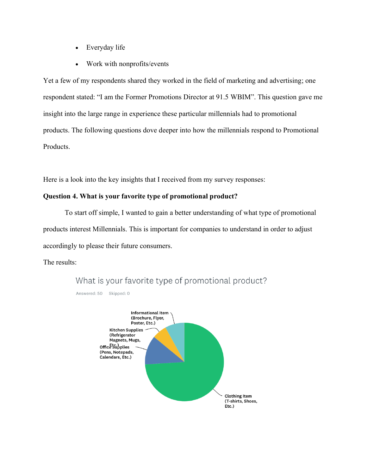- Everyday life
- Work with nonprofits/events

Yet a few of my respondents shared they worked in the field of marketing and advertising; one respondent stated: "I am the Former Promotions Director at 91.5 WBIM". This question gave me insight into the large range in experience these particular millennials had to promotional products. The following questions dove deeper into how the millennials respond to Promotional Products.

Here is a look into the key insights that I received from my survey responses:

## **Question 4. What is your favorite type of promotional product?**

To start off simple, I wanted to gain a better understanding of what type of promotional products interest Millennials. This is important for companies to understand in order to adjust accordingly to please their future consumers.

The results:

Answered: 50 Skipped: 0



What is your favorite type of promotional product?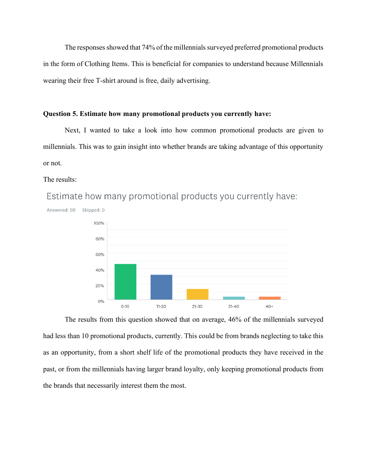The responses showed that 74% of the millennials surveyed preferred promotional products in the form of Clothing Items. This is beneficial for companies to understand because Millennials wearing their free T-shirt around is free, daily advertising.

## **Question 5. Estimate how many promotional products you currently have:**

Next, I wanted to take a look into how common promotional products are given to millennials. This was to gain insight into whether brands are taking advantage of this opportunity or not.

#### The results:

Answered: 50 Skipped: 0 100% 80% 60% 40% 20%  $0%$  $0 - 10$  $11 - 20$  $21 - 30$  $31 - 40$  $40+$ 

Estimate how many promotional products you currently have:

The results from this question showed that on average, 46% of the millennials surveyed had less than 10 promotional products, currently. This could be from brands neglecting to take this as an opportunity, from a short shelf life of the promotional products they have received in the past, or from the millennials having larger brand loyalty, only keeping promotional products from the brands that necessarily interest them the most.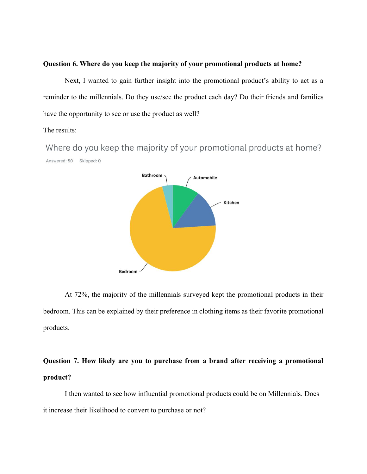## **Question 6. Where do you keep the majority of your promotional products at home?**

Next, I wanted to gain further insight into the promotional product's ability to act as a reminder to the millennials. Do they use/see the product each day? Do their friends and families have the opportunity to see or use the product as well?

## The results:

Where do you keep the majority of your promotional products at home? Answered: 50 Skipped: 0



At 72%, the majority of the millennials surveyed kept the promotional products in their bedroom. This can be explained by their preference in clothing items as their favorite promotional products.

# **Question 7. How likely are you to purchase from a brand after receiving a promotional product?**

I then wanted to see how influential promotional products could be on Millennials. Does it increase their likelihood to convert to purchase or not?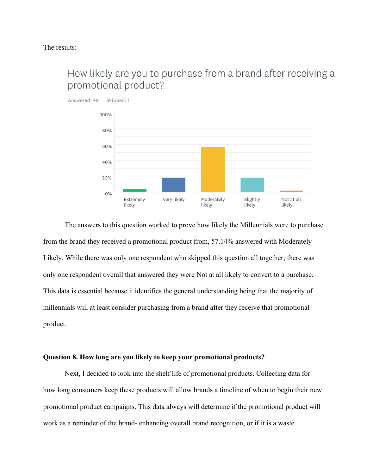

# How likely are you to purchase from a brand after receiving a promotional product?

The answers to this question worked to prove how likely the Millennials were to purchase from the brand they received a promotional product from, 57.14% answered with Moderately Likely. While there was only one respondent who skipped this question all together; there was only one respondent overall that answered they were Not at all likely to convert to a purchase. This data is essential because it identifies the general understanding being that the majority of millennials will at least consider purchasing from a brand after they receive that promotional product.

### **Question 8. How long are you likely to keep your promotional products?**

Next, I decided to look into the shelf life of promotional products. Collecting data for how long consumers keep these products will allow brands a timeline of when to begin their new promotional product campaigns. This data always will determine if the promotional product will work as a reminder of the brand- enhancing overall brand recognition, or if it is a waste.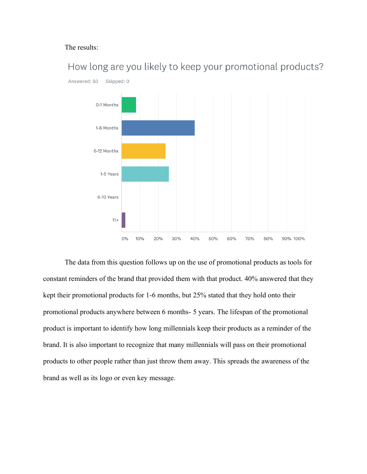## The results:



How long are you likely to keep your promotional products?

The data from this question follows up on the use of promotional products as tools for constant reminders of the brand that provided them with that product. 40% answered that they kept their promotional products for 1-6 months, but 25% stated that they hold onto their promotional products anywhere between 6 months- 5 years. The lifespan of the promotional product is important to identify how long millennials keep their products as a reminder of the brand. It is also important to recognize that many millennials will pass on their promotional products to other people rather than just throw them away. This spreads the awareness of the brand as well as its logo or even key message.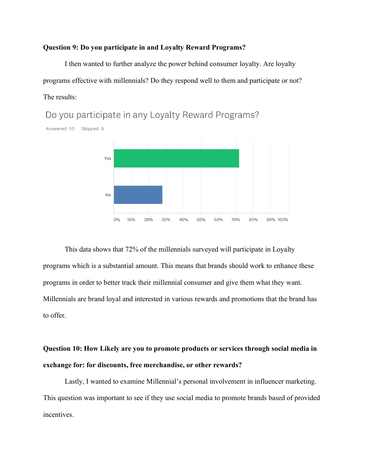#### **Question 9: Do you participate in and Loyalty Reward Programs?**

I then wanted to further analyze the power behind consumer loyalty. Are loyalty programs effective with millennials? Do they respond well to them and participate or not? The results:

> Yes **No**  $0%$  $10%$ 20%  $30%$ 40% 50% 60% 70% 80% 90% 100%

Do you participate in any Loyalty Reward Programs?

Answered: 50 Skipped: 0

This data shows that 72% of the millennials surveyed will participate in Loyalty programs which is a substantial amount. This means that brands should work to enhance these programs in order to better track their millennial consumer and give them what they want. Millennials are brand loyal and interested in various rewards and promotions that the brand has to offer.

**Question 10: How Likely are you to promote products or services through social media in exchange for: for discounts, free merchandise, or other rewards?**

Lastly, I wanted to examine Millennial's personal involvement in influencer marketing. This question was important to see if they use social media to promote brands based of provided incentives.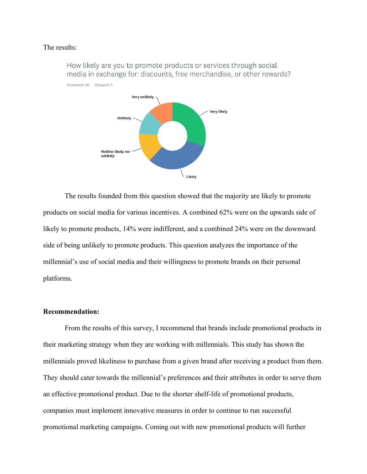#### The results:



How likely are you to promote products or services through social media in exchange for: discounts, free merchandise, or other rewards?

The results founded from this question showed that the majority are likely to promote products on social media for various incentives. A combined 62% were on the upwards side of likely to promote products, 14% were indifferent, and a combined 24% were on the downward side of being unlikely to promote products. This question analyzes the importance of the millennial's use of social media and their willingness to promote brands on their personal platforms.

#### **Recommendation:**

From the results of this survey, I recommend that brands include promotional products in their marketing strategy when they are working with millennials. This study has shown the millennials proved likeliness to purchase from a given brand after receiving a product from them. They should cater towards the millennial's preferences and their attributes in order to serve them an effective promotional product. Due to the shorter shelf-life of promotional products, companies must implement innovative measures in order to continue to run successful promotional marketing campaigns. Coming out with new promotional products will further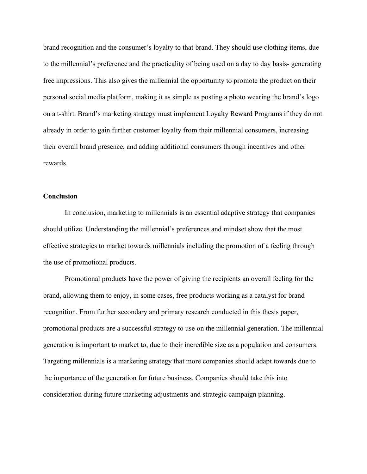brand recognition and the consumer's loyalty to that brand. They should use clothing items, due to the millennial's preference and the practicality of being used on a day to day basis- generating free impressions. This also gives the millennial the opportunity to promote the product on their personal social media platform, making it as simple as posting a photo wearing the brand's logo on a t-shirt. Brand's marketing strategy must implement Loyalty Reward Programs if they do not already in order to gain further customer loyalty from their millennial consumers, increasing their overall brand presence, and adding additional consumers through incentives and other rewards.

#### **Conclusion**

In conclusion, marketing to millennials is an essential adaptive strategy that companies should utilize. Understanding the millennial's preferences and mindset show that the most effective strategies to market towards millennials including the promotion of a feeling through the use of promotional products.

Promotional products have the power of giving the recipients an overall feeling for the brand, allowing them to enjoy, in some cases, free products working as a catalyst for brand recognition. From further secondary and primary research conducted in this thesis paper, promotional products are a successful strategy to use on the millennial generation. The millennial generation is important to market to, due to their incredible size as a population and consumers. Targeting millennials is a marketing strategy that more companies should adapt towards due to the importance of the generation for future business. Companies should take this into consideration during future marketing adjustments and strategic campaign planning.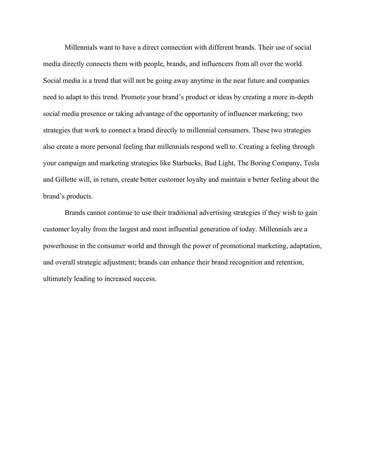Millennials want to have a direct connection with different brands. Their use of social media directly connects them with people, brands, and influencers from all over the world. Social media is a trend that will not be going away anytime in the near future and companies need to adapt to this trend. Promote your brand's product or ideas by creating a more in-depth social media presence or taking advantage of the opportunity of influencer marketing; two strategies that work to connect a brand directly to millennial consumers. These two strategies also create a more personal feeling that millennials respond well to. Creating a feeling through your campaign and marketing strategies like Starbucks, Bud Light, The Boring Company, Tesla and Gillette will, in return, create better customer loyalty and maintain a better feeling about the brand's products.

Brands cannot continue to use their traditional advertising strategies if they wish to gain customer loyalty from the largest and most influential generation of today. Millennials are a powerhouse in the consumer world and through the power of promotional marketing, adaptation, and overall strategic adjustment; brands can enhance their brand recognition and retention, ultimately leading to increased success.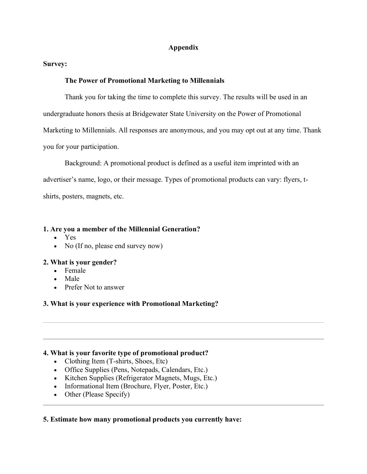## **Appendix**

## **Survey:**

## **The Power of Promotional Marketing to Millennials**

Thank you for taking the time to complete this survey. The results will be used in an undergraduate honors thesis at Bridgewater State University on the Power of Promotional Marketing to Millennials. All responses are anonymous, and you may opt out at any time. Thank you for your participation.

Background: A promotional product is defined as a useful item imprinted with an advertiser's name, logo, or their message. Types of promotional products can vary: flyers, tshirts, posters, magnets, etc.

## **1. Are you a member of the Millennial Generation?**

- Yes
- No (If no, please end survey now)

## **2. What is your gender?**

- Female
- Male
- Prefer Not to answer

# **3. What is your experience with Promotional Marketing?**

## **4. What is your favorite type of promotional product?**

- Clothing Item (T-shirts, Shoes, Etc)
- Office Supplies (Pens, Notepads, Calendars, Etc.)
- Kitchen Supplies (Refrigerator Magnets, Mugs, Etc.)
- Informational Item (Brochure, Flyer, Poster, Etc.)
- Other (Please Specify)

## **5. Estimate how many promotional products you currently have:**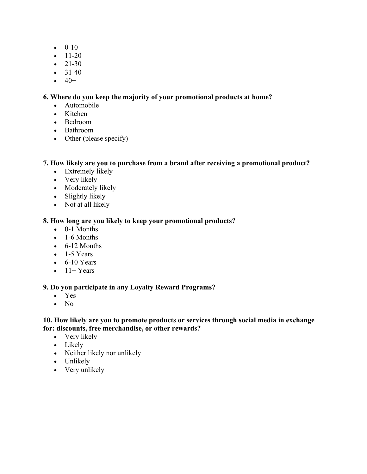- $\bullet$  0-10
- $-11-20$
- $-21-30$
- $31-40$
- $\bullet$  40+

# **6. Where do you keep the majority of your promotional products at home?**

- Automobile
- Kitchen
- Bedroom
- Bathroom
- Other (please specify)

# **7. How likely are you to purchase from a brand after receiving a promotional product?**

- Extremely likely
- Very likely
- Moderately likely
- Slightly likely
- Not at all likely

# **8. How long are you likely to keep your promotional products?**

- 0-1 Months
- 1-6 Months
- $\bullet$  6-12 Months
- $\bullet$  1-5 Years
- $\bullet$  6-10 Years
- $\bullet$  11+ Years

# **9. Do you participate in any Loyalty Reward Programs?**

- Yes
- No

# **10. How likely are you to promote products or services through social media in exchange for: discounts, free merchandise, or other rewards?**

- Very likely
- Likely
- Neither likely nor unlikely
- Unlikely
- Very unlikely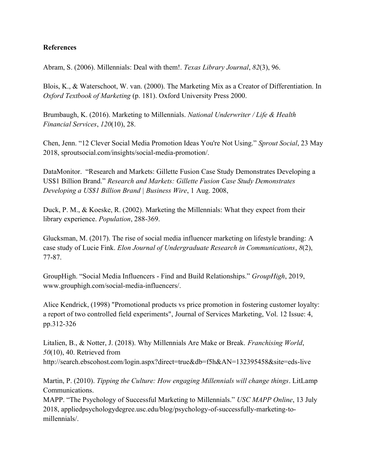# **References**

Abram, S. (2006). Millennials: Deal with them!. *Texas Library Journal*, *82*(3), 96.

Blois, K., & Waterschoot, W. van. (2000). The Marketing Mix as a Creator of Differentiation. In *Oxford Textbook of Marketing* (p. 181). Oxford University Press 2000.

Brumbaugh, K. (2016). Marketing to Millennials. *National Underwriter / Life & Health Financial Services*, *120*(10), 28.

Chen, Jenn. "12 Clever Social Media Promotion Ideas You're Not Using." *Sprout Social*, 23 May 2018, sproutsocial.com/insights/social-media-promotion/.

DataMonitor. "Research and Markets: Gillette Fusion Case Study Demonstrates Developing a US\$1 Billion Brand." *Research and Markets: Gillette Fusion Case Study Demonstrates Developing a US\$1 Billion Brand | Business Wire*, 1 Aug. 2008,

Duck, P. M., & Koeske, R. (2002). Marketing the Millennials: What they expect from their library experience. *Population*, 288-369.

Glucksman, M. (2017). The rise of social media influencer marketing on lifestyle branding: A case study of Lucie Fink. *Elon Journal of Undergraduate Research in Communications*, *8*(2), 77-87.

GroupHigh. "Social Media Influencers - Find and Build Relationships." *GroupHigh*, 2019, www.grouphigh.com/social-media-influencers/.

Alice Kendrick, (1998) "Promotional products vs price promotion in fostering customer loyalty: a report of two controlled field experiments", Journal of Services Marketing, Vol. 12 Issue: 4, pp.312-326

Litalien, B., & Notter, J. (2018). Why Millennials Are Make or Break. *Franchising World*, *50*(10), 40. Retrieved from http://search.ebscohost.com/login.aspx?direct=true&db=f5h&AN=132395458&site=eds-live

Martin, P. (2010). *Tipping the Culture: How engaging Millennials will change things*. LitLamp Communications.

MAPP. "The Psychology of Successful Marketing to Millennials." *USC MAPP Online*, 13 July 2018, appliedpsychologydegree.usc.edu/blog/psychology-of-successfully-marketing-tomillennials/.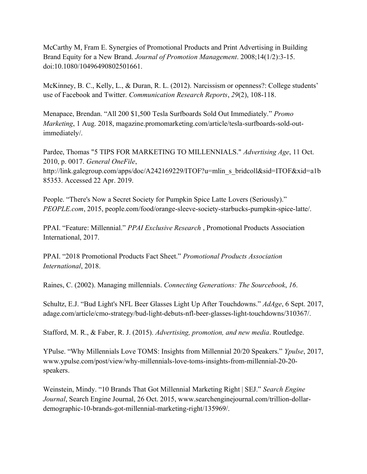McCarthy M, Fram E. Synergies of Promotional Products and Print Advertising in Building Brand Equity for a New Brand. *Journal of Promotion Management*. 2008;14(1/2):3-15. doi:10.1080/10496490802501661.

McKinney, B. C., Kelly, L., & Duran, R. L. (2012). Narcissism or openness?: College students' use of Facebook and Twitter. *Communication Research Reports*, *29*(2), 108-118.

Menapace, Brendan. "All 200 \$1,500 Tesla Surfboards Sold Out Immediately." *Promo Marketing*, 1 Aug. 2018, magazine.promomarketing.com/article/tesla-surfboards-sold-outimmediately/.

Pardee, Thomas "5 TIPS FOR MARKETING TO MILLENNIALS." *Advertising Age*, 11 Oct. 2010, p. 0017. *General OneFile*, http://link.galegroup.com/apps/doc/A242169229/ITOF?u=mlin s bridcoll&sid=ITOF&xid=a1b 85353. Accessed 22 Apr. 2019.

People. "There's Now a Secret Society for Pumpkin Spice Latte Lovers (Seriously)." *PEOPLE.com*, 2015, people.com/food/orange-sleeve-society-starbucks-pumpkin-spice-latte/.

PPAI. "Feature: Millennial." *PPAI Exclusive Research* , Promotional Products Association International, 2017.

PPAI. "2018 Promotional Products Fact Sheet." *Promotional Products Association International*, 2018.

Raines, C. (2002). Managing millennials. *Connecting Generations: The Sourcebook*, *16*.

Schultz, E.J. "Bud Light's NFL Beer Glasses Light Up After Touchdowns." *AdAge*, 6 Sept. 2017, adage.com/article/cmo-strategy/bud-light-debuts-nfl-beer-glasses-light-touchdowns/310367/.

Stafford, M. R., & Faber, R. J. (2015). *Advertising, promotion, and new media*. Routledge.

YPulse. "Why Millennials Love TOMS: Insights from Millennial 20/20 Speakers." *Ypulse*, 2017, www.ypulse.com/post/view/why-millennials-love-toms-insights-from-millennial-20-20 speakers.

Weinstein, Mindy. "10 Brands That Got Millennial Marketing Right | SEJ." *Search Engine Journal*, Search Engine Journal, 26 Oct. 2015, www.searchenginejournal.com/trillion-dollardemographic-10-brands-got-millennial-marketing-right/135969/.